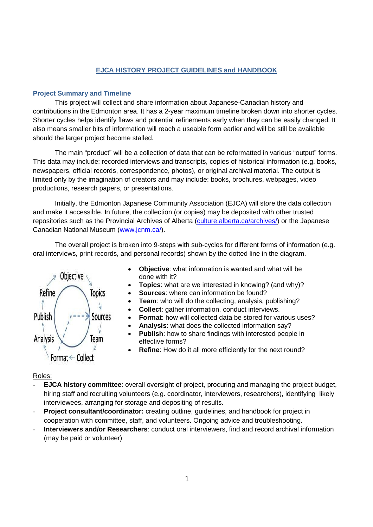# **EJCA HISTORY PROJECT GUIDELINES and HANDBOOK**

## **Project Summary and Timeline**

 This project will collect and share information about Japanese-Canadian history and contributions in the Edmonton area. It has a 2-year maximum timeline broken down into shorter cycles. Shorter cycles helps identify flaws and potential refinements early when they can be easily changed. It also means smaller bits of information will reach a useable form earlier and will be still be available should the larger project become stalled.

The main "product" will be a collection of data that can be reformatted in various "output" forms. This data may include: recorded interviews and transcripts, copies of historical information (e.g. books, newspapers, official records, correspondence, photos), or original archival material. The output is limited only by the imagination of creators and may include: books, brochures, webpages, video productions, research papers, or presentations.

Initially, the Edmonton Japanese Community Association (EJCA) will store the data collection and make it accessible. In future, the collection (or copies) may be deposited with other trusted repositories such as the Provincial Archives of Alberta (culture.alberta.ca/archives/) or the Japanese Canadian National Museum (www.jcnm.ca/).

 The overall project is broken into 9-steps with sub-cycles for different forms of information (e.g. oral interviews, print records, and personal records) shown by the dotted line in the diagram.



- **Objective:** what information is wanted and what will be done with it?
- **Topics:** what are we interested in knowing? (and why)?
- **Sources:** where can information be found?
- **Team:** who will do the collecting, analysis, publishing?
- **Collect:** gather information, conduct interviews.
- **Format:** how will collected data be stored for various uses?
- Analysis: what does the collected information say?
- **Publish:** how to share findings with interested people in effective forms?
- **Refine**: How do it all more efficiently for the next round?

## Roles:

- **EJCA history committee:** overall oversight of project, procuring and managing the project budget, hiring staff and recruiting volunteers (e.g. coordinator, interviewers, researchers), identifying likely interviewees, arranging for storage and depositing of results.
- **Project consultant/coordinator:** creating outline, guidelines, and handbook for project in cooperation with committee, staff, and volunteers. Ongoing advice and troubleshooting.
- **Interviewers and/or Researchers**: conduct oral interviewers, find and record archival information (may be paid or volunteer)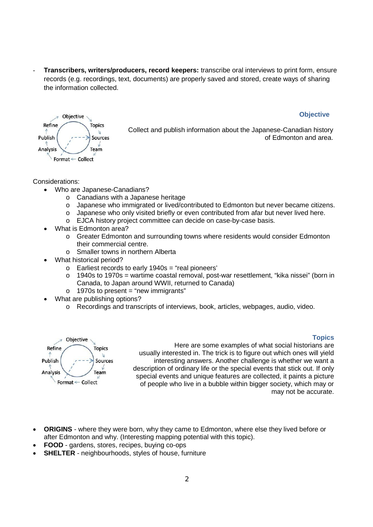- **Transcribers, writers/producers, record keepers:** transcribe oral interviews to print form, ensure records (e.g. recordings, text, documents) are properly saved and stored, create ways of sharing the information collected.



Collect and publish information about the Japanese-Canadian history of Edmonton and area.

**Objective**

# Considerations:

- · Who are Japanese-Canadians?
	- o Canadians with a Japanese heritage
	- o Japanese who immigrated or lived/contributed to Edmonton but never became citizens.
	- $\circ$  Japanese who only visited briefly or even contributed from afar but never lived here.
	- o EJCA history project committee can decide on case-by-case basis.
- What is Edmonton area?
	- o Greater Edmonton and surrounding towns where residents would consider Edmonton their commercial centre.
	- o Smaller towns in northern Alberta
	- · What historical period?
		- o Earliest records to early 1940s = "real pioneers'
		- o 1940s to 1970s = wartime coastal removal, post-war resettlement, "kika nissei" (born in Canada, to Japan around WWII, returned to Canada)
		- $\circ$  1970s to present = "new immigrants"
- What are publishing options?
	- o Recordings and transcripts of interviews, book, articles, webpages, audio, video.



**Topics** Here are some examples of what social historians are usually interested in. The trick is to figure out which ones will yield interesting answers. Another challenge is whether we want a description of ordinary life or the special events that stick out. If only special events and unique features are collected, it paints a picture of people who live in a bubble within bigger society, which may or may not be accurate.

- **ORIGINS** where they were born, why they came to Edmonton, where else they lived before or after Edmonton and why. (Interesting mapping potential with this topic).
- **FOOD** gardens, stores, recipes, buying co-ops
- **SHELTER** neighbourhoods, styles of house, furniture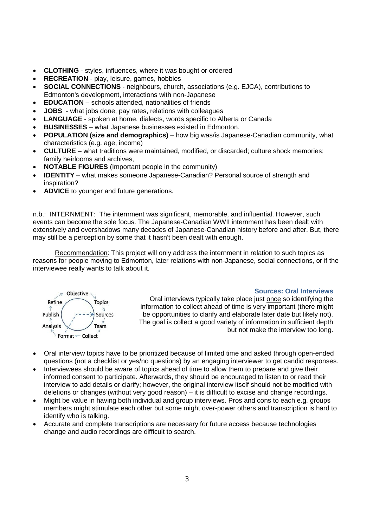- **CLOTHING** styles, influences, where it was bought or ordered
- **RECREATION** play, leisure, games, hobbies
- **SOCIAL CONNECTIONS** neighbours, church, associations (e.g. EJCA), contributions to Edmonton's development, interactions with non-Japanese
- **EDUCATION** schools attended, nationalities of friends
- **JOBS** what jobs done, pay rates, relations with colleagues
- LANGUAGE spoken at home, dialects, words specific to Alberta or Canada
- **BUSINESSES** what Japanese businesses existed in Edmonton.
- · **POPULATION (size and demographics)** how big was/is Japanese-Canadian community, what characteristics (e.g. age, income)
- · **CULTURE**  what traditions were maintained, modified, or discarded; culture shock memories; family heirlooms and archives,
- **NOTABLE FIGURES** (Important people in the community)
- **IDENTITY** what makes someone Japanese-Canadian? Personal source of strength and inspiration?
- ADVICE to younger and future generations.

n.b.: INTERNMENT: The internment was significant, memorable, and influential. However, such events can become the sole focus. The Japanese-Canadian WWII internment has been dealt with extensively and overshadows many decades of Japanese-Canadian history before and after. But, there may still be a perception by some that it hasn't been dealt with enough.

Recommendation: This project will only address the internment in relation to such topics as reasons for people moving to Edmonton, later relations with non-Japanese, social connections, or if the interviewee really wants to talk about it.



#### **Sources: Oral Interviews**

Oral interviews typically take place just once so identifying the information to collect ahead of time is very important (there might be opportunities to clarify and elaborate later date but likely not). The goal is collect a good variety of information in sufficient depth but not make the interview too long.

- · Oral interview topics have to be prioritized because of limited time and asked through open-ended questions (not a checklist or yes/no questions) by an engaging interviewer to get candid responses.
- · Interviewees should be aware of topics ahead of time to allow them to prepare and give their informed consent to participate. Afterwards, they should be encouraged to listen to or read their interview to add details or clarify; however, the original interview itself should not be modified with deletions or changes (without very good reason) – it is difficult to excise and change recordings.
- Might be value in having both individual and group interviews. Pros and cons to each e.g. groups members might stimulate each other but some might over-power others and transcription is hard to identify who is talking.
- · Accurate and complete transcriptions are necessary for future access because technologies change and audio recordings are difficult to search.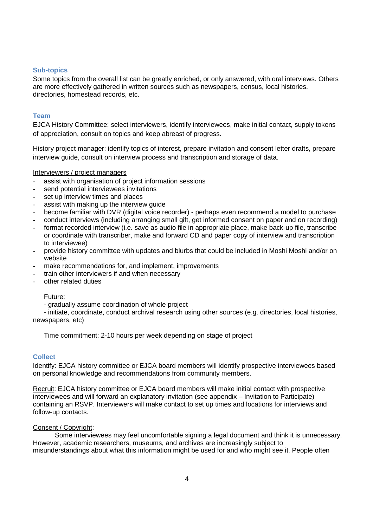## **Sub-topics**

Some topics from the overall list can be greatly enriched, or only answered, with oral interviews. Others are more effectively gathered in written sources such as newspapers, census, local histories, directories, homestead records, etc.

## **Team**

EJCA History Committee: select interviewers, identify interviewees, make initial contact, supply tokens of appreciation, consult on topics and keep abreast of progress.

History project manager: identify topics of interest, prepare invitation and consent letter drafts, prepare interview guide, consult on interview process and transcription and storage of data.

#### Interviewers / project managers

- assist with organisation of project information sessions
- send potential interviewees invitations
- set up interview times and places
- assist with making up the interview quide
- become familiar with DVR (digital voice recorder) perhaps even recommend a model to purchase
- conduct interviews (including arranging small gift, get informed consent on paper and on recording)
- format recorded interview (i.e. save as audio file in appropriate place, make back-up file, transcribe or coordinate with transcriber, make and forward CD and paper copy of interview and transcription to interviewee)
- provide history committee with updates and blurbs that could be included in Moshi Moshi and/or on website
- make recommendations for, and implement, improvements
- train other interviewers if and when necessary
- other related duties

Future:

- gradually assume coordination of whole project

- initiate, coordinate, conduct archival research using other sources (e.g. directories, local histories, newspapers, etc)

Time commitment: 2-10 hours per week depending on stage of project

## **Collect**

Identify: EJCA history committee or EJCA board members will identify prospective interviewees based on personal knowledge and recommendations from community members.

Recruit: EJCA history committee or EJCA board members will make initial contact with prospective interviewees and will forward an explanatory invitation (see appendix – Invitation to Participate) containing an RSVP. Interviewers will make contact to set up times and locations for interviews and follow-up contacts.

#### Consent / Copyright:

Some interviewees may feel uncomfortable signing a legal document and think it is unnecessary. However, academic researchers, museums, and archives are increasingly subject to misunderstandings about what this information might be used for and who might see it. People often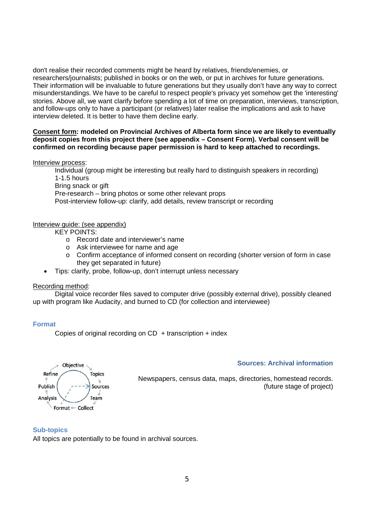don't realise their recorded comments might be heard by relatives, friends/enemies, or researchers/journalists; published in books or on the web, or put in archives for future generations. Their information will be invaluable to future generations but they usually don't have any way to correct misunderstandings. We have to be careful to respect people's privacy yet somehow get the 'interesting' stories. Above all, we want clarify before spending a lot of time on preparation, interviews, transcription, and follow-ups only to have a participant (or relatives) later realise the implications and ask to have interview deleted. It is better to have them decline early.

## **Consent form: modeled on Provincial Archives of Alberta form since we are likely to eventually deposit copies from this project there (see appendix – Consent Form). Verbal consent will be confirmed on recording because paper permission is hard to keep attached to recordings.**

## Interview process:

 Individual (group might be interesting but really hard to distinguish speakers in recording) 1-1.5 hours

Bring snack or gift

Pre-research – bring photos or some other relevant props

Post-interview follow-up: clarify, add details, review transcript or recording

#### Interview guide: (see appendix)

KEY POINTS:

- o Record date and interviewer's name
- o Ask interviewee for name and age
- o Confirm acceptance of informed consent on recording (shorter version of form in case they get separated in future)
- · Tips: clarify, probe, follow-up, don't interrupt unless necessary

## Recording method:

Digital voice recorder files saved to computer drive (possibly external drive), possibly cleaned up with program like Audacity, and burned to CD (for collection and interviewee)

## **Format**

Copies of original recording on  $CD +$  transcription  $+$  index



**Sources: Archival information** 

Newspapers, census data, maps, directories, homestead records. (future stage of project)

## **Sub-topics**

All topics are potentially to be found in archival sources.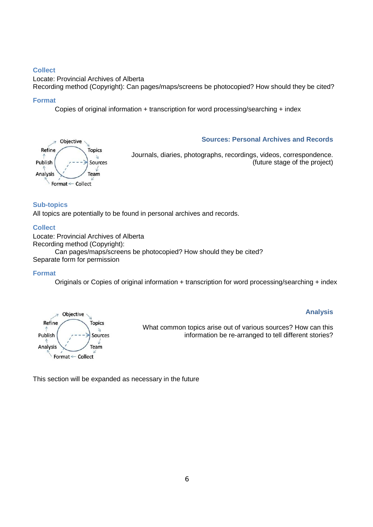# **Collect**

Locate: Provincial Archives of Alberta Recording method (Copyright): Can pages/maps/screens be photocopied? How should they be cited?

## **Format**

Copies of original information + transcription for word processing/searching + index



**Sources: Personal Archives and Records**

Journals, diaries, photographs, recordings, videos, correspondence. (future stage of the project)

# **Sub-topics**

All topics are potentially to be found in personal archives and records.

# **Collect**

Locate: Provincial Archives of Alberta Recording method (Copyright): Can pages/maps/screens be photocopied? How should they be cited? Separate form for permission

# **Format**

Originals or Copies of original information + transcription for word processing/searching + index



What common topics arise out of various sources? How can this information be re-arranged to tell different stories?

**Analysis**

This section will be expanded as necessary in the future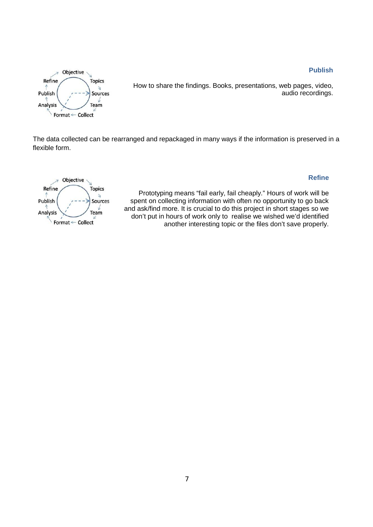#### **Publish**



How to share the findings. Books, presentations, web pages, video, audio recordings.

The data collected can be rearranged and repackaged in many ways if the information is preserved in a flexible form.

## **Refine**

Prototyping means "fail early, fail cheaply." Hours of work will be spent on collecting information with often no opportunity to go back and ask/find more. It is crucial to do this project in short stages so we don't put in hours of work only to realise we wished we'd identified another interesting topic or the files don't save properly.

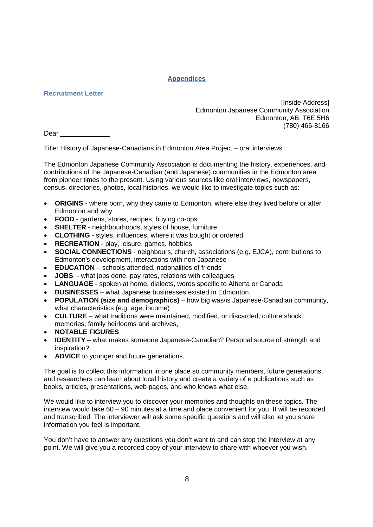# **Appendices**

# **Recruitment Letter**

**Inside Address1** Edmonton Japanese Community Association Edmonton, AB, T6E 5H6 (780) 466-8166

Dear

Title: History of Japanese-Canadians in Edmonton Area Project – oral interviews

The Edmonton Japanese Community Association is documenting the history, experiences, and contributions of the Japanese-Canadian (and Japanese) communities in the Edmonton area from pioneer times to the present. Using various sources like oral interviews, newspapers, census, directories, photos, local histories, we would like to investigate topics such as:

- · **ORIGINS** where born, why they came to Edmonton, where else they lived before or after Edmonton and why.
- · **FOOD** gardens, stores, recipes, buying co-ops
- · **SHELTER** neighbourhoods, styles of house, furniture
- **CLOTHING** styles, influences, where it was bought or ordered
- · **RECREATION** play, leisure, games, hobbies
- **SOCIAL CONNECTIONS** neighbours, church, associations (e.g. EJCA), contributions to Edmonton's development, interactions with non-Japanese
- · **EDUCATION** schools attended, nationalities of friends
- · **JOBS**  what jobs done, pay rates, relations with colleagues
- · **LANGUAGE** spoken at home, dialects, words specific to Alberta or Canada
- **BUSINESSES** what Japanese businesses existed in Edmonton.
- · **POPULATION (size and demographics)** how big was/is Japanese-Canadian community, what characteristics (e.g. age, income)
- · **CULTURE**  what traditions were maintained, modified, or discarded; culture shock memories; family heirlooms and archives,
- · **NOTABLE FIGURES**
- · **IDENTITY**  what makes someone Japanese-Canadian? Personal source of strength and inspiration?
- · **ADVICE** to younger and future generations.

The goal is to collect this information in one place so community members, future generations, and researchers can learn about local history and create a variety of e publications such as books, articles, presentations, web pages, and who knows what else.

We would like to interview you to discover your memories and thoughts on these topics. The interview would take 60 – 90 minutes at a time and place convenient for you. It will be recorded and transcribed. The interviewer will ask some specific questions and will also let you share information you feel is important.

You don't have to answer any questions you don't want to and can stop the interview at any point. We will give you a recorded copy of your interview to share with whoever you wish.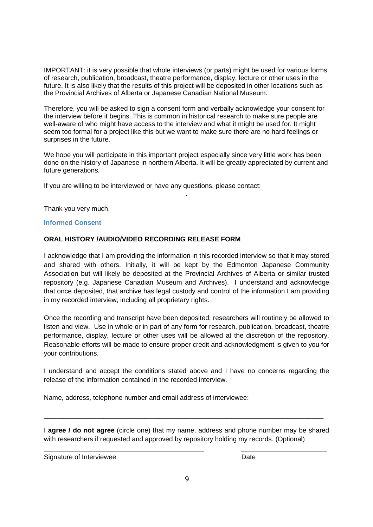IMPORTANT: it is very possible that whole interviews (or parts) might be used for various forms of research, publication, broadcast, theatre performance, display, lecture or other uses in the future. It is also likely that the results of this project will be deposited in other locations such as the Provincial Archives of Alberta or Japanese Canadian National Museum.

Therefore, you will be asked to sign a consent form and verbally acknowledge your consent for the interview before it begins. This is common in historical research to make sure people are well-aware of who might have access to the interview and what it might be used for. It might seem too formal for a project like this but we want to make sure there are no hard feelings or surprises in the future.

We hope you will participate in this important project especially since very little work has been done on the history of Japanese in northern Alberta. It will be greatly appreciated by current and future generations.

If you are willing to be interviewed or have any questions, please contact:

Thank you very much.

## **Informed Consent**

# **ORAL HISTORY /AUDIO/VIDEO RECORDING RELEASE FORM**

.

I acknowledge that I am providing the information in this recorded interview so that it may stored and shared with others. Initially, it will be kept by the Edmonton Japanese Community Association but will likely be deposited at the Provincial Archives of Alberta or similar trusted repository (e.g. Japanese Canadian Museum and Archives). I understand and acknowledge that once deposited, that archive has legal custody and control of the information I am providing in my recorded interview, including all proprietary rights.

Once the recording and transcript have been deposited, researchers will routinely be allowed to listen and view. Use in whole or in part of any form for research, publication, broadcast, theatre performance, display, lecture or other uses will be allowed at the discretion of the repository. Reasonable efforts will be made to ensure proper credit and acknowledgment is given to you for your contributions.

I understand and accept the conditions stated above and I have no concerns regarding the release of the information contained in the recorded interview.

Name, address, telephone number and email address of interviewee:

I **agree / do not agree** (circle one) that my name, address and phone number may be shared with researchers if requested and approved by repository holding my records. (Optional)

\_\_\_\_\_\_\_\_\_\_\_\_\_\_\_\_\_\_\_\_\_\_\_\_\_\_\_\_\_\_\_\_\_\_\_\_\_\_\_\_\_\_\_ \_\_\_\_\_\_\_\_\_\_\_\_\_\_\_\_\_\_\_\_\_\_\_

\_\_\_\_\_\_\_\_\_\_\_\_\_\_\_\_\_\_\_\_\_\_\_\_\_\_\_\_\_\_\_\_\_\_\_\_\_\_\_\_\_\_\_\_\_\_\_\_\_\_\_\_\_\_\_\_\_\_\_\_\_\_\_\_\_\_\_\_\_\_\_\_\_\_\_

Signature of Interviewee Date Date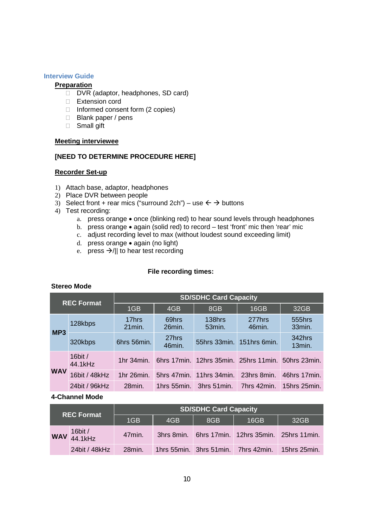#### **Interview Guide**

# **Preparation**

- DVR (adaptor, headphones, SD card)
- □ Extension cord
- $\Box$  Informed consent form (2 copies)
- □ Blank paper / pens
- □ Small gift

#### **Meeting interviewee**

## **[NEED TO DETERMINE PROCEDURE HERE]**

#### **Recorder Set-up**

- 1) Attach base, adaptor, headphones
- 2) Place DVR between people
- 3) Select front + rear mics ("surround 2ch") use  $\leftarrow \rightarrow$  buttons
- 4) Test recording:
	- a. press orange once (blinking red) to hear sound levels through headphones
	- b. press orange again (solid red) to record test 'front' mic then 'rear' mic
	- c. adjust recording level to max (without loudest sound exceeding limit)
	- d. press orange · again (no light)
	- e. press  $\rightarrow$ /|| to hear test recording

# **File recording times:**

# **Stereo Mode**

| <b>REC Format</b> |                      | <b>SD/SDHC Card Capacity</b> |                    |                           |                                                    |                  |  |
|-------------------|----------------------|------------------------------|--------------------|---------------------------|----------------------------------------------------|------------------|--|
|                   |                      | 1GB                          | 4GB                | 8GB                       | 16GB                                               | 32GB             |  |
| MP <sub>3</sub>   | 128kbps              | 17hrs<br>$21$ min.           | 69hrs<br>$26$ min. | 138hrs<br>53min.          | 277hrs<br>46min.                                   | 555hrs<br>33min. |  |
|                   | 320kbps              | 6hrs 56min.                  | 27hrs<br>46min.    | 55hrs 33min. 151hrs 6min. |                                                    | 342hrs<br>13min. |  |
|                   | 16bit $/$<br>44.1kHz | 1 $hr$ 34 $min$ .            |                    |                           | 6hrs 17min. 12hrs 35min. 25hrs 11min. 50hrs 23min. |                  |  |
| <b>WAV</b>        | 16bit / 48kHz        | 1 $hr$ 26 $min$              |                    | 5hrs 47min. 11hrs 34min.  | 23hrs 8min.                                        | 46hrs 17min.     |  |
|                   | 24bit / 96kHz        | 28min.                       |                    | 1hrs 55min. 3hrs 51min.   | 7hrs 42min. 15hrs 25min.                           |                  |  |

## **4-Channel Mode**

| <b>REC Format</b> |                             | <b>SD/SDHC Card Capacity</b> |            |     |                                                  |      |  |
|-------------------|-----------------------------|------------------------------|------------|-----|--------------------------------------------------|------|--|
|                   |                             | 1GB                          | 4GB        | 8GB | 16GB                                             | 32GB |  |
|                   | WAV $\frac{16bit}{44.1kHz}$ | 47min.                       | 3hrs 8min. |     | 6hrs 17min. 12hrs 35min. 25hrs 11min.            |      |  |
|                   | 24bit / 48kHz               | 28min                        |            |     | 1hrs 55min. 3hrs 51min. 7hrs 42min. 15hrs 25min. |      |  |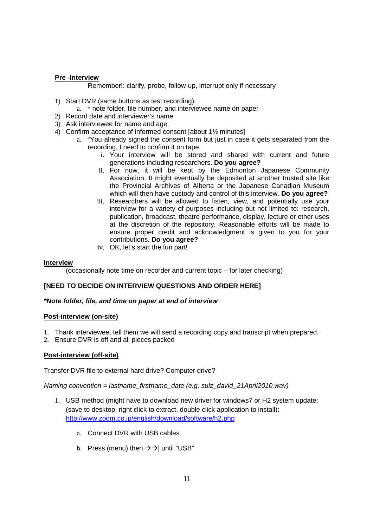# **Pre -Interview**

Remember!: clarify, probe, follow-up, interrupt only if necessary

- 1) Start DVR (same buttons as test recording):
	- a. \* note folder, file number, and interviewee name on paper
- 2) Record date and interviewer's name
- 3) Ask interviewee for name and age.
- 4) Confirm acceptance of informed consent [about 1½ minutes]
	- a. "You already signed the consent form but just in case it gets separated from the recording, I need to confirm it on tape.
		- i. Your interview will be stored and shared with current and future generations including researchers. **Do you agree?**
		- ii. For now, it will be kept by the Edmonton Japanese Community Association. It might eventually be deposited at another trusted site like the Provincial Archives of Alberta or the Japanese Canadian Museum which will then have custody and control of this interview. **Do you agree?**
		- iii. Researchers will be allowed to listen, view, and potentially use your interview for a variety of purposes including but not limited to: research, publication, broadcast, theatre performance, display, lecture or other uses at the discretion of the repository. Reasonable efforts will be made to ensure proper credit and acknowledgment is given to you for your contributions. **Do you agree?**
		- iv. OK, let's start the fun part!

## **Interview**

(occasionally note time on recorder and current topic – for later checking)

# **[NEED TO DECIDE ON INTERVIEW QUESTIONS AND ORDER HERE]**

## *\*Note folder, file, and time on paper at end of interview*

## **Post-interview (on-site)**

- 1. Thank interviewee, tell them we will send a recording copy and transcript when prepared.
- 2. Ensure DVR is off and all pieces packed

## **Post-interview (off-site)**

## Transfer DVR file to external hard drive? Computer drive?

*Naming convention = lastname\_firstname\_date (e.g. sulz\_david\_21April2010.wav)* 

- 1. USB method (might have to download new driver for windows7 or H2 system update: (save to desktop, right click to extract, double click application to install): http://www.zoom.co.jp/english/download/software/h2.php
	- a. Connect DVR with USB cables
	- b. Press (menu) then  $\rightarrow \rightarrow$  until "USB"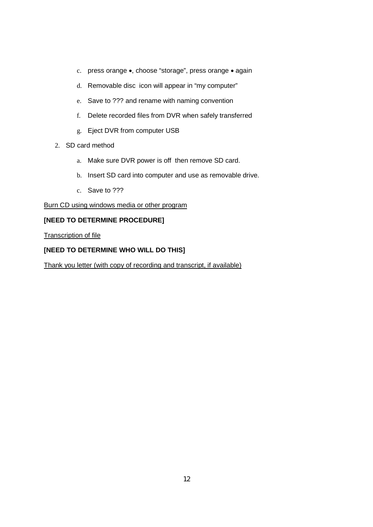- c. press orange •, choose "storage", press orange again
- d. Removable disc icon will appear in "my computer"
- e. Save to ??? and rename with naming convention
- f. Delete recorded files from DVR when safely transferred
- g. Eject DVR from computer USB
- 2. SD card method
	- a. Make sure DVR power is off then remove SD card.
	- b. Insert SD card into computer and use as removable drive.
	- c. Save to ???

## Burn CD using windows media or other program

# **[NEED TO DETERMINE PROCEDURE]**

Transcription of file

# **[NEED TO DETERMINE WHO WILL DO THIS]**

Thank you letter (with copy of recording and transcript, if available)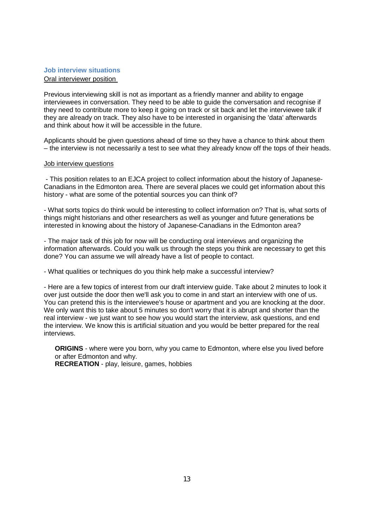# **Job interview situations**

# Oral interviewer position

Previous interviewing skill is not as important as a friendly manner and ability to engage interviewees in conversation. They need to be able to guide the conversation and recognise if they need to contribute more to keep it going on track or sit back and let the interviewee talk if they are already on track. They also have to be interested in organising the 'data' afterwards and think about how it will be accessible in the future.

Applicants should be given questions ahead of time so they have a chance to think about them – the interview is not necessarily a test to see what they already know off the tops of their heads.

## Job interview questions

 - This position relates to an EJCA project to collect information about the history of Japanese-Canadians in the Edmonton area. There are several places we could get information about this history - what are some of the potential sources you can think of?

- What sorts topics do think would be interesting to collect information on? That is, what sorts of things might historians and other researchers as well as younger and future generations be interested in knowing about the history of Japanese-Canadians in the Edmonton area?

- The major task of this job for now will be conducting oral interviews and organizing the information afterwards. Could you walk us through the steps you think are necessary to get this done? You can assume we will already have a list of people to contact.

- What qualities or techniques do you think help make a successful interview?

- Here are a few topics of interest from our draft interview guide. Take about 2 minutes to look it over just outside the door then we'll ask you to come in and start an interview with one of us. You can pretend this is the interviewee's house or apartment and you are knocking at the door. We only want this to take about 5 minutes so don't worry that it is abrupt and shorter than the real interview - we just want to see how you would start the interview, ask questions, and end the interview. We know this is artificial situation and you would be better prepared for the real interviews.

**ORIGINS** - where were you born, why you came to Edmonton, where else you lived before or after Edmonton and why. **RECREATION** - play, leisure, games, hobbies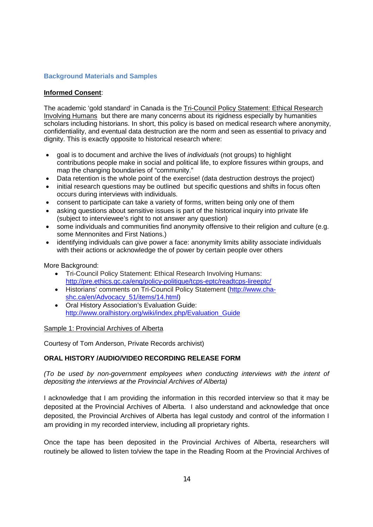# **Background Materials and Samples**

# **Informed Consent**:

The academic 'gold standard' in Canada is the Tri-Council Policy Statement: Ethical Research Involving Humans but there are many concerns about its rigidness especially by humanities scholars including historians. In short, this policy is based on medical research where anonymity, confidentiality, and eventual data destruction are the norm and seen as essential to privacy and dignity. This is exactly opposite to historical research where:

- · goal is to document and archive the lives of *individuals* (not groups) to highlight contributions people make in social and political life, to explore fissures within groups, and map the changing boundaries of "community."
- · Data retention is the whole point of the exercise! (data destruction destroys the project)
- initial research questions may be outlined but specific questions and shifts in focus often occurs during interviews with individuals.
- · consent to participate can take a variety of forms, written being only one of them
- asking questions about sensitive issues is part of the historical inquiry into private life (subject to interviewee's right to not answer any question)
- · some individuals and communities find anonymity offensive to their religion and culture (e.g. some Mennonites and First Nations.)
- · identifying individuals can give power a face: anonymity limits ability associate individuals with their actions or acknowledge the of power by certain people over others

More Background:

- · Tri-Council Policy Statement: Ethical Research Involving Humans: http://pre.ethics.gc.ca/eng/policy-politique/tcps-eptc/readtcps-lireeptc/
- · Historians' comments on Tri-Council Policy Statement (http://www.chashc.ca/en/Advocacy 51/items/14.html)
- · Oral History Association's Evaluation Guide: http://www.oralhistory.org/wiki/index.php/Evaluation\_Guide

Sample 1: Provincial Archives of Alberta

Courtesy of Tom Anderson, Private Records archivist)

# **ORAL HISTORY /AUDIO/VIDEO RECORDING RELEASE FORM**

*(To be used by non-government employees when conducting interviews with the intent of depositing the interviews at the Provincial Archives of Alberta)* 

I acknowledge that I am providing the information in this recorded interview so that it may be deposited at the Provincial Archives of Alberta. I also understand and acknowledge that once deposited, the Provincial Archives of Alberta has legal custody and control of the information I am providing in my recorded interview, including all proprietary rights.

Once the tape has been deposited in the Provincial Archives of Alberta, researchers will routinely be allowed to listen to/view the tape in the Reading Room at the Provincial Archives of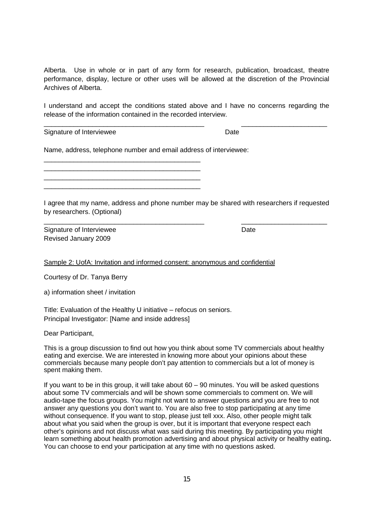Alberta. Use in whole or in part of any form for research, publication, broadcast, theatre performance, display, lecture or other uses will be allowed at the discretion of the Provincial Archives of Alberta.

I understand and accept the conditions stated above and I have no concerns regarding the release of the information contained in the recorded interview.

 $\_$  , and the set of the set of the set of the set of the set of the set of the set of the set of the set of the set of the set of the set of the set of the set of the set of the set of the set of the set of the set of th

Signature of Interviewee Date Date

Name, address, telephone number and email address of interviewee:

\_\_\_\_\_\_\_\_\_\_\_\_\_\_\_\_\_\_\_\_\_\_\_\_\_\_\_\_\_\_\_\_\_\_\_\_\_\_\_\_\_\_ \_\_\_\_\_\_\_\_\_\_\_\_\_\_\_\_\_\_\_\_\_\_\_\_\_\_\_\_\_\_\_\_\_\_\_\_\_\_\_\_\_\_ \_\_\_\_\_\_\_\_\_\_\_\_\_\_\_\_\_\_\_\_\_\_\_\_\_\_\_\_\_\_\_\_\_\_\_\_\_\_\_\_\_\_ \_\_\_\_\_\_\_\_\_\_\_\_\_\_\_\_\_\_\_\_\_\_\_\_\_\_\_\_\_\_\_\_\_\_\_\_\_\_\_\_\_\_

I agree that my name, address and phone number may be shared with researchers if requested by researchers. (Optional)

\_\_\_\_\_\_\_\_\_\_\_\_\_\_\_\_\_\_\_\_\_\_\_\_\_\_\_\_\_\_\_\_\_\_\_\_\_\_\_\_\_\_\_ \_\_\_\_\_\_\_\_\_\_\_\_\_\_\_\_\_\_\_\_\_\_\_

Signature of Interviewee **Date** Date Date Revised January 2009

Sample 2: UofA: Invitation and informed consent: anonymous and confidential

Courtesy of Dr. Tanya Berry

a) information sheet / invitation

Title: Evaluation of the Healthy U initiative – refocus on seniors. Principal Investigator: [Name and inside address]

Dear Participant,

This is a group discussion to find out how you think about some TV commercials about healthy eating and exercise. We are interested in knowing more about your opinions about these commercials because many people don't pay attention to commercials but a lot of money is spent making them.

If you want to be in this group, it will take about 60 – 90 minutes. You will be asked questions about some TV commercials and will be shown some commercials to comment on. We will audio-tape the focus groups. You might not want to answer questions and you are free to not answer any questions you don't want to. You are also free to stop participating at any time without consequence. If you want to stop, please just tell xxx. Also, other people might talk about what you said when the group is over, but it is important that everyone respect each other's opinions and not discuss what was said during this meeting. By participating you might learn something about health promotion advertising and about physical activity or healthy eating**.** You can choose to end your participation at any time with no questions asked.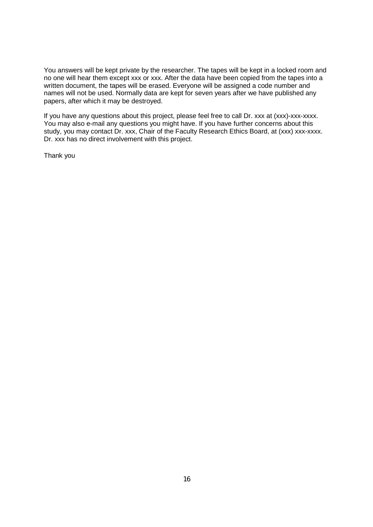You answers will be kept private by the researcher. The tapes will be kept in a locked room and no one will hear them except xxx or xxx. After the data have been copied from the tapes into a written document, the tapes will be erased. Everyone will be assigned a code number and names will not be used. Normally data are kept for seven years after we have published any papers, after which it may be destroyed.

If you have any questions about this project, please feel free to call Dr. xxx at (xxx)-xxx-xxxx. You may also e-mail any questions you might have. If you have further concerns about this study, you may contact Dr. xxx, Chair of the Faculty Research Ethics Board, at (xxx) xxx-xxxx. Dr. xxx has no direct involvement with this project.

Thank you